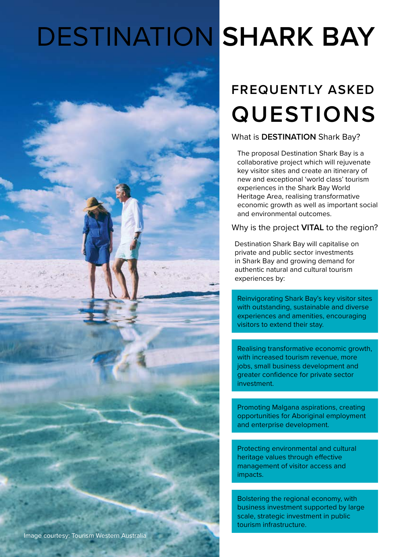# DESTINATION **SHARK BAY**

# **FREQUENTLY ASKED QUESTIONS**

What is **DESTINATION** Shark Bay?

The proposal Destination Shark Bay is a collaborative project which will rejuvenate key visitor sites and create an itinerary of new and exceptional 'world class' tourism experiences in the Shark Bay World Heritage Area, realising transformative economic growth as well as important social and environmental outcomes.

Why is the project **VITAL** to the region?

Destination Shark Bay will capitalise on private and public sector investments in Shark Bay and growing demand for authentic natural and cultural tourism experiences by:

Reinvigorating Shark Bay's key visitor sites with outstanding, sustainable and diverse experiences and amenities, encouraging visitors to extend their stay.

Realising transformative economic growth, with increased tourism revenue, more jobs, small business development and greater confidence for private sector investment.

Promoting Malgana aspirations, creating opportunities for Aboriginal employment and enterprise development.

Protecting environmental and cultural heritage values through effective management of visitor access and impacts.

Bolstering the regional economy, with business investment supported by large scale, strategic investment in public tourism infrastructure.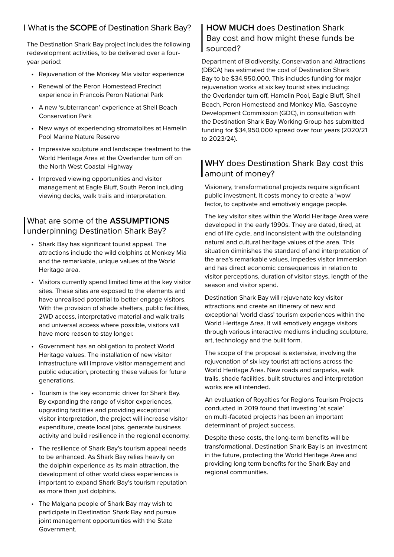#### | What is the **SCOPE** of Destination Shark Bay?

The Destination Shark Bay project includes the following redevelopment activities, to be delivered over a fouryear period:

- Rejuvenation of the Monkey Mia visitor experience
- Renewal of the Peron Homestead Precinct experience in Francois Peron National Park
- A new 'subterranean' experience at Shell Beach Conservation Park
- New ways of experiencing stromatolites at Hamelin Pool Marine Nature Reserve
- Impressive sculpture and landscape treatment to the World Heritage Area at the Overlander turn off on the North West Coastal Highway
- Improved viewing opportunities and visitor management at Eagle Bluff, South Peron including viewing decks, walk trails and interpretation.

#### | What are some of the **ASSUMPTIONS** underpinning Destination Shark Bay?

- Shark Bay has significant tourist appeal. The attractions include the wild dolphins at Monkey Mia and the remarkable, unique values of the World Heritage area.
- Visitors currently spend limited time at the key visitor sites. These sites are exposed to the elements and have unrealised potential to better engage visitors. With the provision of shade shelters, public facilities, 2WD access, interpretative material and walk trails and universal access where possible, visitors will have more reason to stay longer.
- Government has an obligation to protect World Heritage values. The installation of new visitor infrastructure will improve visitor management and public education, protecting these values for future generations.
- Tourism is the key economic driver for Shark Bay. By expanding the range of visitor experiences, upgrading facilities and providing exceptional visitor interpretation, the project will increase visitor expenditure, create local jobs, generate business activity and build resilience in the regional economy.
- The resilience of Shark Bay's tourism appeal needs to be enhanced. As Shark Bay relies heavily on the dolphin experience as its main attraction, the development of other world class experiences is important to expand Shark Bay's tourism reputation as more than just dolphins.
- The Malgana people of Shark Bay may wish to participate in Destination Shark Bay and pursue joint management opportunities with the State Government.

#### **HOW MUCH** does Destination Shark Bay cost and how might these funds be sourced?

|<br>|<br>|<br>| Department of Biodiversity, Conservation and Attractions (DBCA) has estimated the cost of Destination Shark Bay to be \$34,950,000. This includes funding for major rejuvenation works at six key tourist sites including: the Overlander turn off, Hamelin Pool, Eagle Bluff, Shell Beach, Peron Homestead and Monkey Mia. Gascoyne Development Commission (GDC), in consultation with the Destination Shark Bay Working Group has submitted funding for \$34,950,000 spread over four years (2020/21 to 2023/24).

# WHY does Destina<br>amount of money? **WHY** does Destination Shark Bay cost this

Visionary, transformational projects require significant public investment. It costs money to create a 'wow' factor, to captivate and emotively engage people.

The key visitor sites within the World Heritage Area were developed in the early 1990s. They are dated, tired, at end of life cycle, and inconsistent with the outstanding natural and cultural heritage values of the area. This situation diminishes the standard of and interpretation of the area's remarkable values, impedes visitor immersion and has direct economic consequences in relation to visitor perceptions, duration of visitor stays, length of the season and visitor spend.

Destination Shark Bay will rejuvenate key visitor attractions and create an itinerary of new and exceptional 'world class' tourism experiences within the World Heritage Area. It will emotively engage visitors through various interactive mediums including sculpture, art, technology and the built form.

The scope of the proposal is extensive, involving the rejuvenation of six key tourist attractions across the World Heritage Area. New roads and carparks, walk trails, shade facilities, built structures and interpretation works are all intended.

An evaluation of Royalties for Regions Tourism Projects conducted in 2019 found that investing 'at scale' on multi-faceted projects has been an important determinant of project success.

Despite these costs, the long-term benefits will be transformational. Destination Shark Bay is an investment in the future, protecting the World Heritage Area and providing long term benefits for the Shark Bay and regional communities.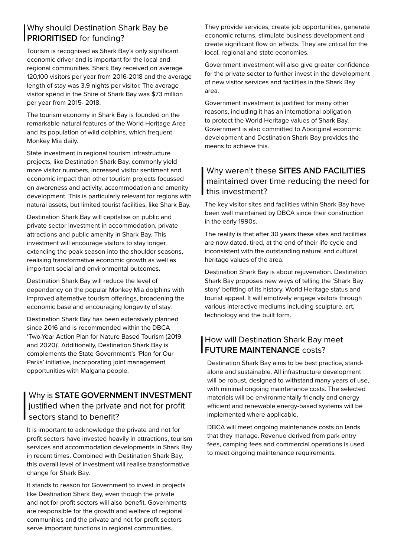# **Why should Destination S**<br>**PRIORITISED** for funding? Why should Destination Shark Bay be

Tourism is recognised as Shark Bay's only significant economic driver and is important for the local and regional communities. Shark Bay received on average 120,100 visitors per year from 2016-2018 and the average length of stay was 3.9 nights per visitor. The average visitor spend in the Shire of Shark Bay was \$73 million per year from 2015- 2018.

The tourism economy in Shark Bay is founded on the remarkable natural features of the World Heritage Area and its population of wild dolphins, which frequent Monkey Mia daily.

State investment in regional tourism infrastructure projects, like Destination Shark Bay, commonly yield more visitor numbers, increased visitor sentiment and economic impact than other tourism projects focussed on awareness and activity, accommodation and amenity development. This is particularly relevant for regions with natural assets, but limited tourist facilities, like Shark Bay.

Destination Shark Bay will capitalise on public and private sector investment in accommodation, private attractions and public amenity in Shark Bay. This investment will encourage visitors to stay longer, extending the peak season into the shoulder seasons, realising transformative economic growth as well as important social and environmental outcomes.

Destination Shark Bay will reduce the level of dependency on the popular Monkey Mia dolphins with improved alternative tourism offerings, broadening the economic base and encouraging longevity of stay.

Destination Shark Bay has been extensively planned since 2016 and is recommended within the DBCA 'Two-Year Action Plan for Nature Based Tourism (2019 and 2020)'. Additionally, Destination Shark Bay is complements the State Government's 'Plan for Our Parks' initiative, incorporating joint management opportunities with Malgana people.

# Why is **STATE GOVERNMENT INVESTMENT**<br>justified when the private and not for profit<br>sectors stand to benefit? justified when the private and not for profit sectors stand to benefit?

It is important to acknowledge the private and not for profit sectors have invested heavily in attractions, tourism services and accommodation developments in Shark Bay in recent times. Combined with Destination Shark Bay, this overall level of investment will realise transformative change for Shark Bay.

It stands to reason for Government to invest in projects like Destination Shark Bay, even though the private and not for profit sectors will also benefit. Governments are responsible for the growth and welfare of regional communities and the private and not for profit sectors serve important functions in regional communities.

They provide services, create job opportunities, generate economic returns, stimulate business development and create significant flow on effects. They are critical for the local, regional and state economies.

Government investment will also give greater confidence for the private sector to further invest in the development of new visitor services and facilities in the Shark Bay area.

Government investment is justified for many other reasons, including it has an international obligation to protect the World Heritage values of Shark Bay. Government is also committed to Aboriginal economic development and Destination Shark Bay provides the means to achieve this.

#### | Why weren't these **SITES AND FACILITIES** maintained over time reducing the need for this investment?

The key visitor sites and facilities within Shark Bay have been well maintained by DBCA since their construction in the early 1990s.

The reality is that after 30 years these sites and facilities are now dated, tired, at the end of their life cycle and inconsistent with the outstanding natural and cultural heritage values of the area.

Destination Shark Bay is about rejuvenation. Destination Shark Bay proposes new ways of telling the 'Shark Bay story' befitting of its history, World Heritage status and tourist appeal. It will emotively engage visitors through various interactive mediums including sculpture, art, technology and the built form.

# | How will Destination Shark Bay<br>| FUTURE MAINTENANCE costs? How will Destination Shark Bay meet

Destination Shark Bay aims to be best practice, standalone and sustainable. All infrastructure development will be robust, designed to withstand many years of use, with minimal ongoing maintenance costs. The selected materials will be environmentally friendly and energy efficient and renewable energy-based systems will be implemented where applicable.

DBCA will meet ongoing maintenance costs on lands that they manage. Revenue derived from park entry fees, camping fees and commercial operations is used to meet ongoing maintenance requirements.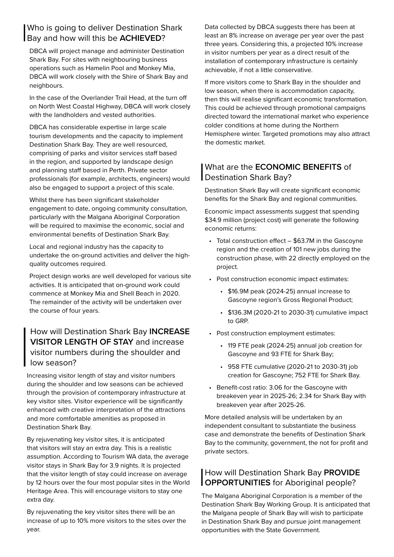# Who is going to deliver Destination S<br>Bay and how will this be **ACHIEVED**? Who is going to deliver Destination Shark

DBCA will project manage and administer Destination Shark Bay. For sites with neighbouring business operations such as Hamelin Pool and Monkey Mia, DBCA will work closely with the Shire of Shark Bay and neighbours.

In the case of the Overlander Trail Head, at the turn off on North West Coastal Highway, DBCA will work closely with the landholders and vested authorities.

DBCA has considerable expertise in large scale tourism developments and the capacity to implement Destination Shark Bay. They are well resourced, comprising of parks and visitor services staff based in the region, and supported by landscape design and planning staff based in Perth. Private sector professionals (for example, architects, engineers) would also be engaged to support a project of this scale.

Whilst there has been significant stakeholder engagement to date, ongoing community consultation, particularly with the Malgana Aboriginal Corporation will be required to maximise the economic, social and environmental benefits of Destination Shark Bay.

Local and regional industry has the capacity to undertake the on-ground activities and deliver the highquality outcomes required.

Project design works are well developed for various site activities. It is anticipated that on-ground work could commence at Monkey Mia and Shell Beach in 2020. The remainder of the activity will be undertaken over the course of four years.

# How will Destination Shark Bay **INCREASE**<br> **VISITOR LENGTH OF STAY** and increase<br>
visitor numbers during the shoulder and<br>
low season?<br>
Increasing visitor length of stay and visitor numbers **VISITOR LENGTH OF STAY** and increase visitor numbers during the shoulder and low season?

Increasing visitor length of stay and visitor numbers during the shoulder and low seasons can be achieved through the provision of contemporary infrastructure at key visitor sites. Visitor experience will be significantly enhanced with creative interpretation of the attractions and more comfortable amenities as proposed in Destination Shark Bay.

By rejuvenating key visitor sites, it is anticipated that visitors will stay an extra day. This is a realistic assumption. According to Tourism WA data, the average visitor stays in Shark Bay for 3.9 nights. It is projected that the visitor length of stay could increase on average by 12 hours over the four most popular sites in the World Heritage Area. This will encourage visitors to stay one extra day.

By rejuvenating the key visitor sites there will be an increase of up to 10% more visitors to the sites over the year.

Data collected by DBCA suggests there has been at least an 8% increase on average per year over the past three years. Considering this, a projected 10% increase in visitor numbers per year as a direct result of the installation of contemporary infrastructure is certainly achievable, if not a little conservative.

If more visitors come to Shark Bay in the shoulder and low season, when there is accommodation capacity, then this will realise significant economic transformation. This could be achieved through promotional campaigns directed toward the international market who experience colder conditions at home during the Northern Hemisphere winter. Targeted promotions may also attract the domestic market.

#### | What are the **ECONOMIC BENEFITS** of Destination Shark Bay?

Destination Shark Bay will create significant economic benefits for the Shark Bay and regional communities.

Economic impact assessments suggest that spending \$34.9 million (project cost) will generate the following economic returns:

- Total construction effect \$63.7M in the Gascoyne region and the creation of 101 new jobs during the construction phase, with 22 directly employed on the project.
- Post construction economic impact estimates:
	- \$16.9M peak (2024-25) annual increase to Gascoyne region's Gross Regional Product;
	- \$136.3M (2020-21 to 2030-31) cumulative impact to GRP.
- Post construction employment estimates:
	- 119 FTE peak (2024-25) annual job creation for Gascoyne and 93 FTE for Shark Bay;
	- 958 FTE cumulative (2020-21 to 2030-31) job creation for Gascoyne; 752 FTE for Shark Bay.
- Benefit-cost ratio: 3.06 for the Gascoyne with breakeven year in 2025-26; 2.34 for Shark Bay with breakeven year after 2025-26.

More detailed analysis will be undertaken by an independent consultant to substantiate the business case and demonstrate the benefits of Destination Shark Bay to the community, government, the not for profit and private sectors.

# | How will Destination Shark Bay PROVID<br>| OPPORTUNITIES for Aboriginal people? How will Destination Shark Bay **PROVIDE**

The Malgana Aboriginal Corporation is a member of the Destination Shark Bay Working Group. It is anticipated that the Malgana people of Shark Bay will wish to participate in Destination Shark Bay and pursue joint management opportunities with the State Government.